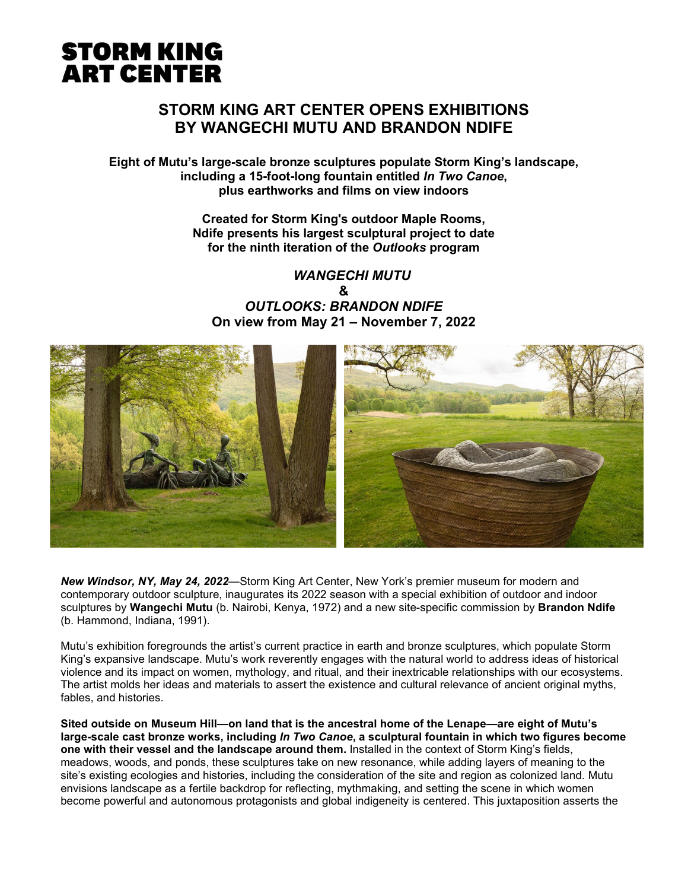# **STORM KING ART CENTER OPENS EXHIBITIONS BY WANGECHI MUTU AND BRANDON NDIFE**

**Eight of Mutu's large-scale bronze sculptures populate Storm King's landscape, including a 15-foot-long fountain entitled** *In Two Canoe***, plus earthworks and films on view indoors**

> **Created for Storm King's outdoor Maple Rooms, Ndife presents his largest sculptural project to date for the ninth iteration of the** *Outlooks* **program**

 *WANGECHI MUTU* **&** *OUTLOOKS: BRANDON NDIFE* **On view from May 21 – November 7, 2022**



*New Windsor, NY, May 24, 2022*—Storm King Art Center, New York's premier museum for modern and contemporary outdoor sculpture, inaugurates its 2022 season with a special exhibition of outdoor and indoor sculptures by **Wangechi Mutu** (b. Nairobi, Kenya, 1972) and a new site-specific commission by **Brandon Ndife** (b. Hammond, Indiana, 1991).

Mutu's exhibition foregrounds the artist's current practice in earth and bronze sculptures, which populate Storm King's expansive landscape. Mutu's work reverently engages with the natural world to address ideas of historical violence and its impact on women, mythology, and ritual, and their inextricable relationships with our ecosystems. The artist molds her ideas and materials to assert the existence and cultural relevance of ancient original myths, fables, and histories.

**Sited outside on Museum Hill—on land that is the ancestral home of the Lenape—are eight of Mutu's large-scale cast bronze works, including** *In Two Canoe***, a sculptural fountain in which two figures become one with their vessel and the landscape around them.** Installed in the context of Storm King's fields, meadows, woods, and ponds, these sculptures take on new resonance, while adding layers of meaning to the site's existing ecologies and histories, including the consideration of the site and region as colonized land. Mutu envisions landscape as a fertile backdrop for reflecting, mythmaking, and setting the scene in which women become powerful and autonomous protagonists and global indigeneity is centered. This juxtaposition asserts the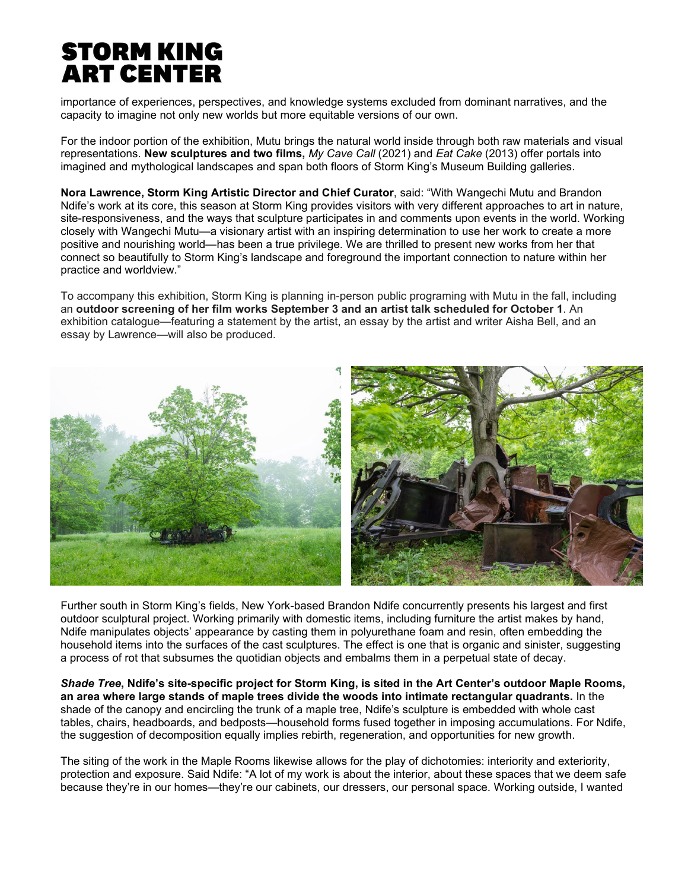importance of experiences, perspectives, and knowledge systems excluded from dominant narratives, and the capacity to imagine not only new worlds but more equitable versions of our own.

For the indoor portion of the exhibition, Mutu brings the natural world inside through both raw materials and visual representations. **New sculptures and two films,** *My Cave Call* (2021) and *Eat Cake* (2013) offer portals into imagined and mythological landscapes and span both floors of Storm King's Museum Building galleries.

**Nora Lawrence, Storm King Artistic Director and Chief Curator**, said: "With Wangechi Mutu and Brandon Ndife's work at its core, this season at Storm King provides visitors with very different approaches to art in nature, site-responsiveness, and the ways that sculpture participates in and comments upon events in the world. Working closely with Wangechi Mutu—a visionary artist with an inspiring determination to use her work to create a more positive and nourishing world—has been a true privilege. We are thrilled to present new works from her that connect so beautifully to Storm King's landscape and foreground the important connection to nature within her practice and worldview."

To accompany this exhibition, Storm King is planning in-person public programing with Mutu in the fall, including an **outdoor screening of her film works September 3 and an artist talk scheduled for October 1**. An exhibition catalogue—featuring a statement by the artist, an essay by the artist and writer Aisha Bell, and an essay by Lawrence—will also be produced.



Further south in Storm King's fields, New York-based Brandon Ndife concurrently presents his largest and first outdoor sculptural project. Working primarily with domestic items, including furniture the artist makes by hand, Ndife manipulates objects' appearance by casting them in polyurethane foam and resin, often embedding the household items into the surfaces of the cast sculptures. The effect is one that is organic and sinister, suggesting a process of rot that subsumes the quotidian objects and embalms them in a perpetual state of decay.

*Shade Tree***, Ndife's site-specific project for Storm King, is sited in the Art Center's outdoor Maple Rooms, an area where large stands of maple trees divide the woods into intimate rectangular quadrants.** In the shade of the canopy and encircling the trunk of a maple tree, Ndife's sculpture is embedded with whole cast tables, chairs, headboards, and bedposts—household forms fused together in imposing accumulations. For Ndife, the suggestion of decomposition equally implies rebirth, regeneration, and opportunities for new growth.

The siting of the work in the Maple Rooms likewise allows for the play of dichotomies: interiority and exteriority, protection and exposure. Said Ndife: "A lot of my work is about the interior, about these spaces that we deem safe because they're in our homes—they're our cabinets, our dressers, our personal space. Working outside, I wanted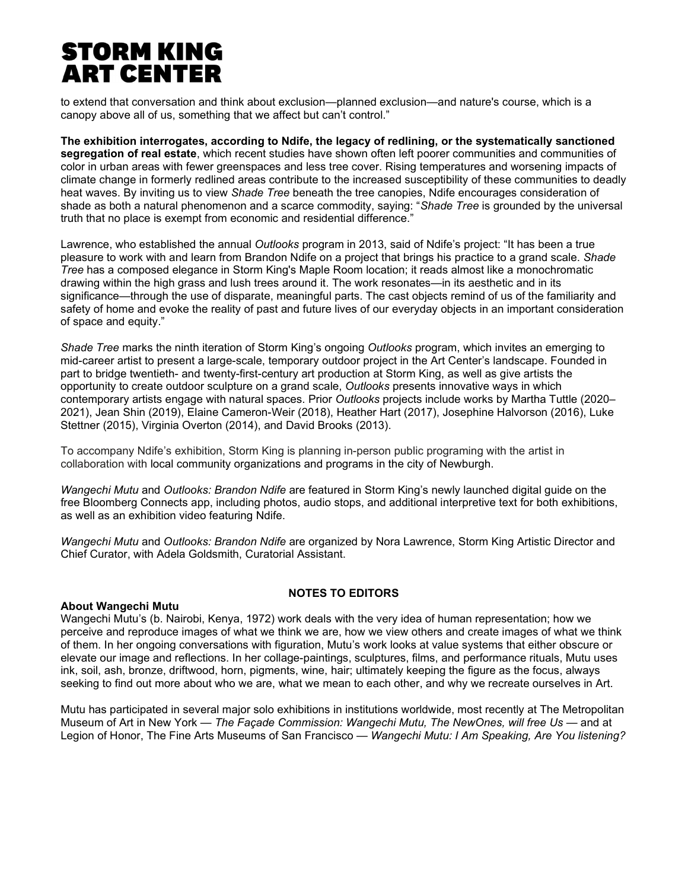to extend that conversation and think about exclusion—planned exclusion—and nature's course, which is a canopy above all of us, something that we affect but can't control."

**The exhibition interrogates, according to Ndife, the legacy of redlining, or the systematically sanctioned segregation of real estate**, which recent studies have shown often left poorer communities and communities of color in urban areas with fewer greenspaces and less tree cover. Rising temperatures and worsening impacts of climate change in formerly redlined areas contribute to the increased susceptibility of these communities to deadly heat waves. By inviting us to view *Shade Tree* beneath the tree canopies, Ndife encourages consideration of shade as both a natural phenomenon and a scarce commodity, saying: "*Shade Tree* is grounded by the universal truth that no place is exempt from economic and residential difference."

Lawrence, who established the annual *Outlooks* program in 2013, said of Ndife's project: "It has been a true pleasure to work with and learn from Brandon Ndife on a project that brings his practice to a grand scale. *Shade Tree* has a composed elegance in Storm King's Maple Room location; it reads almost like a monochromatic drawing within the high grass and lush trees around it. The work resonates—in its aesthetic and in its significance—through the use of disparate, meaningful parts. The cast objects remind of us of the familiarity and safety of home and evoke the reality of past and future lives of our everyday objects in an important consideration of space and equity."

*Shade Tree* marks the ninth iteration of Storm King's ongoing *Outlooks* program, which invites an emerging to mid-career artist to present a large-scale, temporary outdoor project in the Art Center's landscape. Founded in part to bridge twentieth- and twenty-first-century art production at Storm King, as well as give artists the opportunity to create outdoor sculpture on a grand scale, *Outlooks* presents innovative ways in which contemporary artists engage with natural spaces. Prior *Outlooks* projects include works by Martha Tuttle (2020– 2021), Jean Shin (2019), Elaine Cameron-Weir (2018), Heather Hart (2017), Josephine Halvorson (2016), Luke Stettner (2015), Virginia Overton (2014), and David Brooks (2013).

To accompany Ndife's exhibition, Storm King is planning in-person public programing with the artist in collaboration with local community organizations and programs in the city of Newburgh.

*Wangechi Mutu* and *Outlooks: Brandon Ndife* are featured in Storm King's newly launched digital guide on the free Bloomberg Connects app, including photos, audio stops, and additional interpretive text for both exhibitions, as well as an exhibition video featuring Ndife.

*Wangechi Mutu* and *Outlooks: Brandon Ndife* are organized by Nora Lawrence, Storm King Artistic Director and Chief Curator, with Adela Goldsmith, Curatorial Assistant.

### **About Wangechi Mutu**

# **NOTES TO EDITORS**

Wangechi Mutu's (b. Nairobi, Kenya, 1972) work deals with the very idea of human representation; how we perceive and reproduce images of what we think we are, how we view others and create images of what we think of them. In her ongoing conversations with figuration, Mutu's work looks at value systems that either obscure or elevate our image and reflections. In her collage-paintings, sculptures, films, and performance rituals, Mutu uses ink, soil, ash, bronze, driftwood, horn, pigments, wine, hair; ultimately keeping the figure as the focus, always seeking to find out more about who we are, what we mean to each other, and why we recreate ourselves in Art.

Mutu has participated in several major solo exhibitions in institutions worldwide, most recently at The Metropolitan Museum of Art in New York — *The Façade Commission: Wangechi Mutu, The NewOnes, will free Us* — and at Legion of Honor, The Fine Arts Museums of San Francisco — *Wangechi Mutu: I Am Speaking, Are You listening?*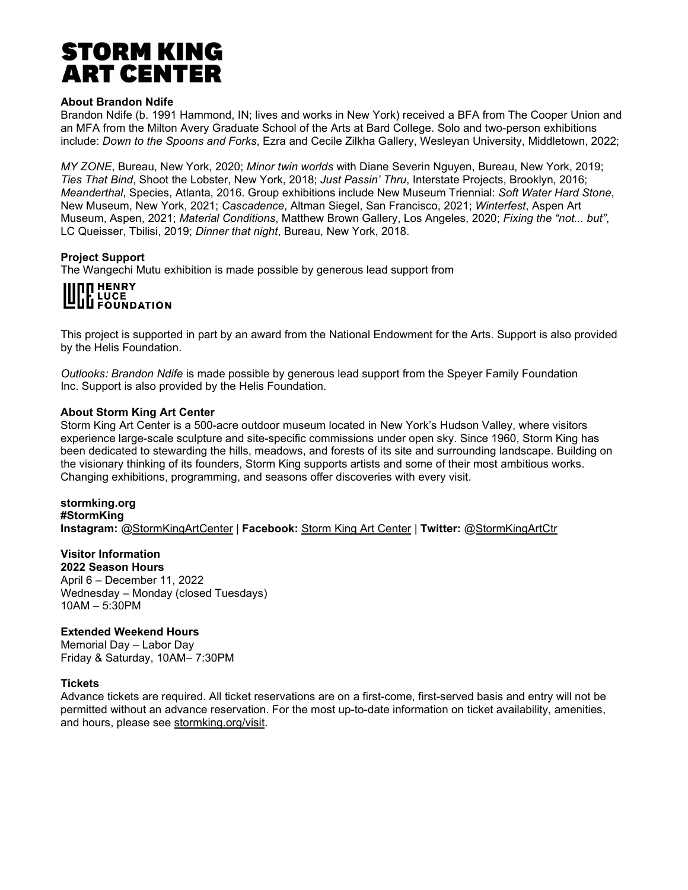# **About Brandon Ndife**

Brandon Ndife (b. 1991 Hammond, IN; lives and works in New York) received a BFA from The Cooper Union and an MFA from the Milton Avery Graduate School of the Arts at Bard College. Solo and two-person exhibitions include: *Down to the Spoons and Forks*, Ezra and Cecile Zilkha Gallery, Wesleyan University, Middletown, 2022;

*MY ZONE*, Bureau, New York, 2020; *Minor twin worlds* with Diane Severin Nguyen, Bureau, New York, 2019; *Ties That Bind*, Shoot the Lobster, New York, 2018; *Just Passin' Thru*, Interstate Projects, Brooklyn, 2016; *Meanderthal*, Species, Atlanta, 2016. Group exhibitions include New Museum Triennial: *Soft Water Hard Stone*, New Museum, New York, 2021; *Cascadence*, Altman Siegel, San Francisco, 2021; *Winterfest*, Aspen Art Museum, Aspen, 2021; *Material Conditions*, Matthew Brown Gallery, Los Angeles, 2020; *Fixing the "not... but"*, LC Queisser, Tbilisi, 2019; *Dinner that night*, Bureau, New York, 2018.

# **Project Support**

The Wangechi Mutu exhibition is made possible by generous lead support from

# **NU HENRY LL LUCE<br>ULL FOUNDATION**

This project is supported in part by an award from the National Endowment for the Arts. Support is also provided by the Helis Foundation.

*Outlooks: Brandon Ndife* is made possible by generous lead support from the Speyer Family Foundation Inc. Support is also provided by the Helis Foundation.

### **About Storm King Art Center**

Storm King Art Center is a 500-acre outdoor museum located in New York's Hudson Valley, where visitors experience large-scale sculpture and site-specific commissions under open sky. Since 1960, Storm King has been dedicated to stewarding the hills, meadows, and forests of its site and surrounding landscape. Building on the visionary thinking of its founders, Storm King supports artists and some of their most ambitious works. Changing exhibitions, programming, and seasons offer discoveries with every visit.

#### **stormking.org #StormKing Instagram:** [@StormKingArtCenter](http://instagram.com/stormkingartcenter) | **Facebook:** [Storm King Art Center |](https://www.facebook.com/StormKingArtCenter) **Twitter:** [@StormKingArtCtr](https://twitter.com/StormKingArtCtr)

# **Visitor Information**

**2022 Season Hours** April 6 – December 11, 2022 Wednesday – Monday (closed Tuesdays) 10AM – 5:30PM

# **Extended Weekend Hours**

Memorial Day – Labor Day Friday & Saturday, 10AM– 7:30PM

# **Tickets**

Advance tickets are required. All ticket reservations are on a first-come, first-served basis and entry will not be permitted without an advance reservation. For the most up-to-date information on ticket availability, amenities, and hours, please see [stormking.org/visit.](https://stormking.org/visit/)